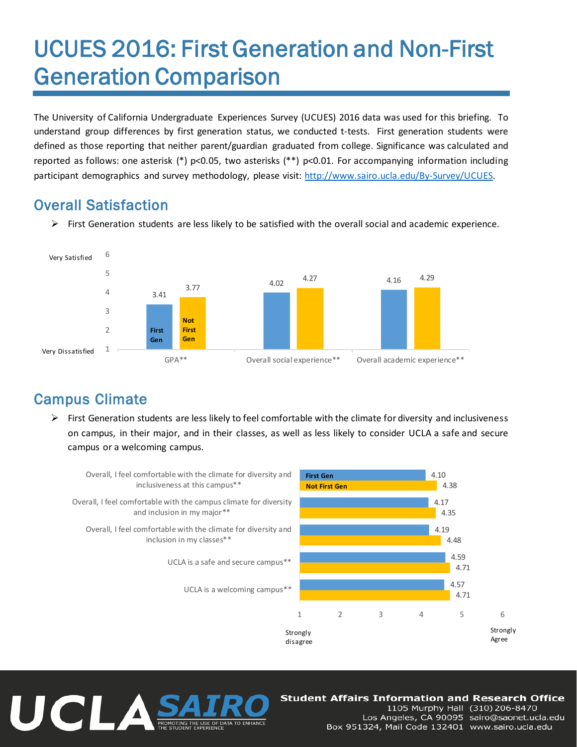## UCUES 2016: First Generation and Non-First Generation Comparison

The University of California Undergraduate Experiences Survey (UCUES) 2016 data was used for this briefing. To understand group differences by first generation status, we conducted t-tests. First generation students were defined as those reporting that neither parent/guardian graduated from college. Significance was calculated and reported as follows: one asterisk (\*) p<0.05, two asterisks (\*\*) p<0.01. For accompanying information including participant demographics and survey methodology, please visit: http://www.sairo.ucla.edu/By-Survey/UCUES.

## Overall Satisfaction

 $\triangleright$  First Generation students are less likely to be satisfied with the overall social and academic experience.



## Campus Climate

 $\triangleright$  First Generation students are less likely to feel comfortable with the climate for diversity and inclusiveness on campus, in their major, and in their classes, as well as less likely to consider UCLA a safe and secure campus or a welcoming campus.



# UCLA

### **Student Affairs Information and Research Office**

1105 Murphy Hall (310) 206-8470 Los Angeles, CA 90095 sairo@saonet.ucla.edu Box 951324, Mail Code 132401 www.sairo.ucla.edu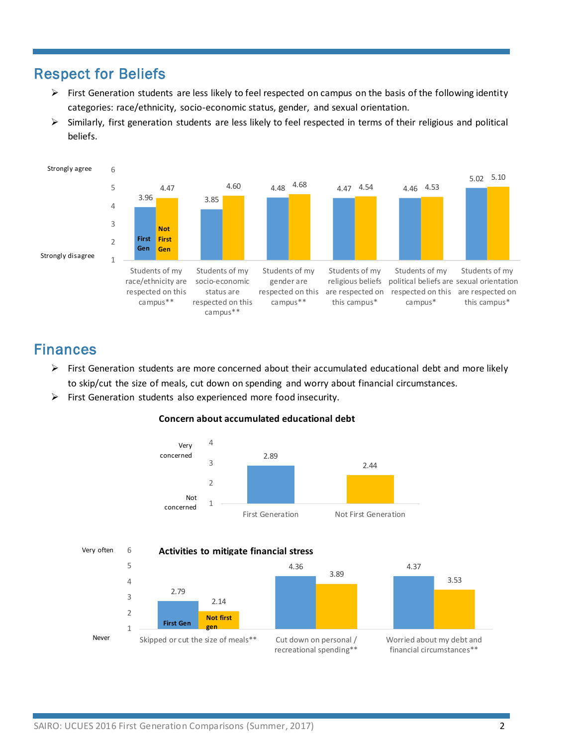## Respect for Beliefs

- $\triangleright$  First Generation students are less likely to feel respected on campus on the basis of the following identity categories: race/ethnicity, socio-economic status, gender, and sexual orientation.
- $\triangleright$  Similarly, first generation students are less likely to feel respected in terms of their religious and political beliefs.



## Finances

- $\triangleright$  First Generation students are more concerned about their accumulated educational debt and more likely to skip/cut the size of meals, cut down on spending and worry about financial circumstances.
- $\triangleright$  First Generation students also experienced more food insecurity.



recreational spending\*\*

**Concern about accumulated educational debt**

financial circumstances\*\*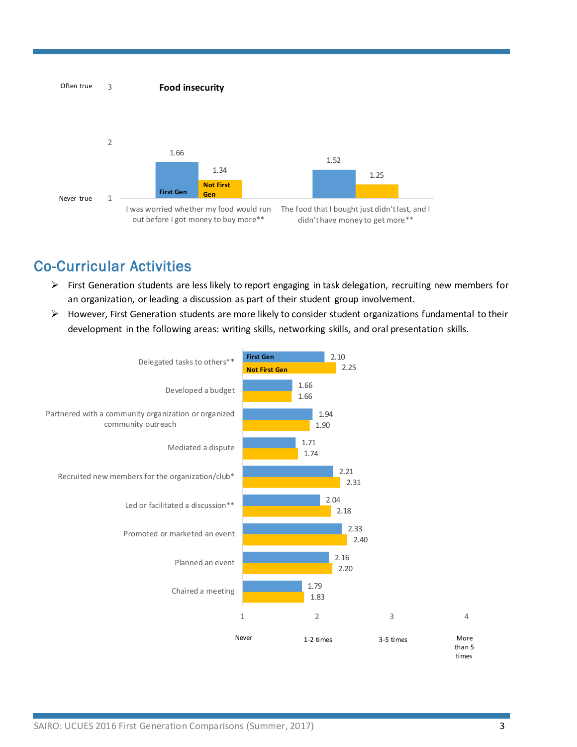

## Co-Curricular Activities

- $\triangleright$  First Generation students are less likely to report engaging in task delegation, recruiting new members for an organization, or leading a discussion as part of their student group involvement.
- $\triangleright$  However, First Generation students are more likely to consider student organizations fundamental to their development in the following areas: writing skills, networking skills, and oral presentation skills.

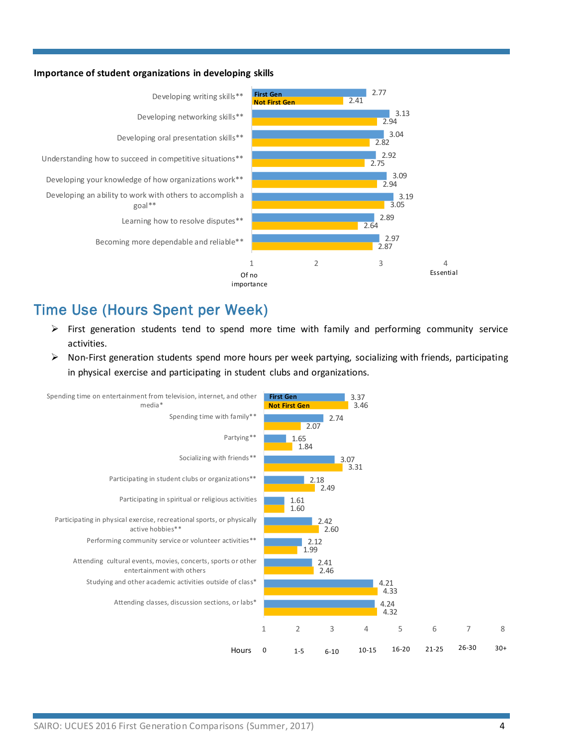#### **Importance of student organizations in developing skills**



## Time Use (Hours Spent per Week)

- $\triangleright$  First generation students tend to spend more time with family and performing community service activities.
- $\triangleright$  Non-First generation students spend more hours per week partying, socializing with friends, participating in physical exercise and participating in student clubs and organizations.

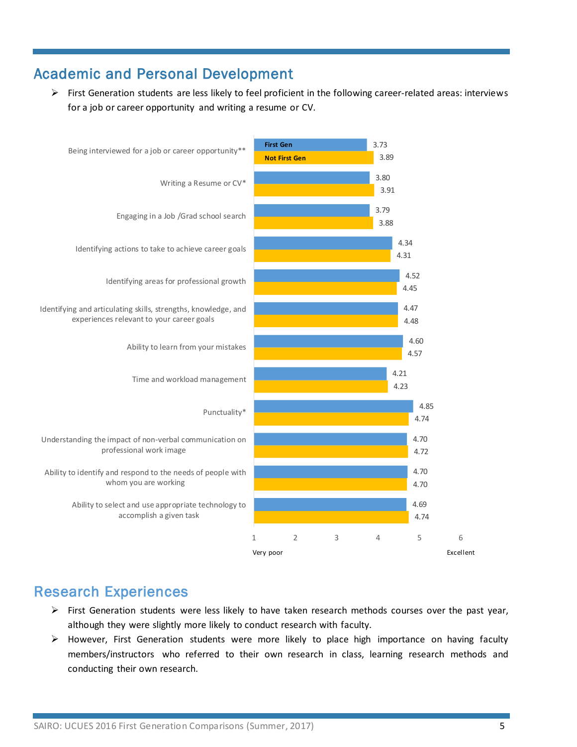## Academic and Personal Development

First Generation students are less likely to feel proficient in the following career-related areas: interviews for a job or career opportunity and writing a resume or CV.



## Research Experiences

- $\triangleright$  First Generation students were less likely to have taken research methods courses over the past year, although they were slightly more likely to conduct research with faculty.
- $\triangleright$  However, First Generation students were more likely to place high importance on having faculty members/instructors who referred to their own research in class, learning research methods and conducting their own research.